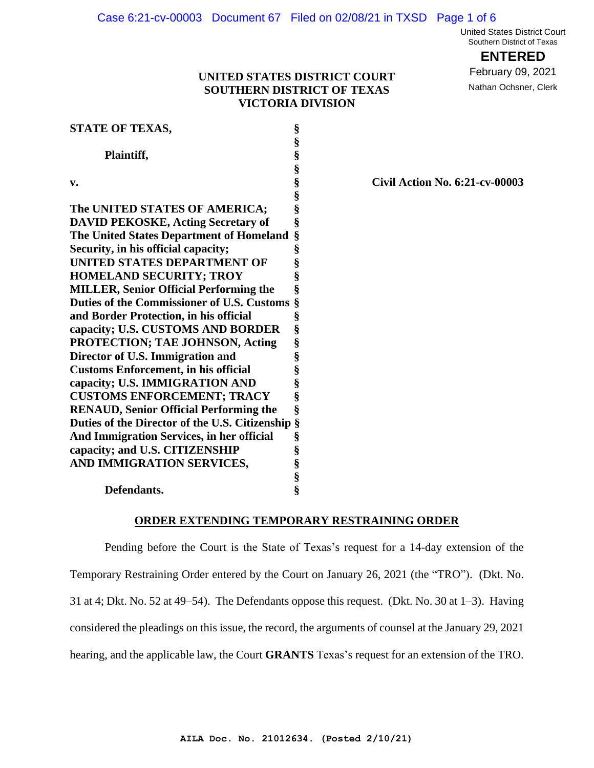United States District Court Southern District of Texas

**ENTERED**

February 09, 2021

Nathan Ochsner, Clerk

# **UNITED STATES DISTRICT COURT SOUTHERN DISTRICT OF TEXAS VICTORIA DIVISION**

| <b>STATE OF TEXAS,</b>                           | §                 |
|--------------------------------------------------|-------------------|
|                                                  |                   |
| Plaintiff,                                       | es es es es es es |
|                                                  |                   |
| v.                                               |                   |
|                                                  |                   |
| The UNITED STATES OF AMERICA;                    |                   |
| <b>DAVID PEKOSKE, Acting Secretary of</b>        | §                 |
| The United States Department of Homeland         | §                 |
| Security, in his official capacity;              | §                 |
| UNITED STATES DEPARTMENT OF                      |                   |
| <b>HOMELAND SECURITY; TROY</b>                   | §<br>§            |
| <b>MILLER, Senior Official Performing the</b>    | §                 |
| Duties of the Commissioner of U.S. Customs       | §                 |
| and Border Protection, in his official           | §                 |
| capacity; U.S. CUSTOMS AND BORDER                | §                 |
| PROTECTION; TAE JOHNSON, Acting                  | §                 |
| Director of U.S. Immigration and                 |                   |
| <b>Customs Enforcement, in his official</b>      | S<br>S<br>S       |
| capacity; U.S. IMMIGRATION AND                   |                   |
| <b>CUSTOMS ENFORCEMENT; TRACY</b>                | §                 |
| <b>RENAUD, Senior Official Performing the</b>    | §                 |
| Duties of the Director of the U.S. Citizenship § |                   |
| And Immigration Services, in her official        | §                 |
| capacity; and U.S. CITIZENSHIP                   |                   |
| AND IMMIGRATION SERVICES,                        |                   |
|                                                  | SS SS SS          |
| Defendants.                                      |                   |

#### **v. § Civil Action No. 6:21-cv-00003**

**ORDER EXTENDING TEMPORARY RESTRAINING ORDER**

Pending before the Court is the State of Texas's request for a 14-day extension of the Temporary Restraining Order entered by the Court on January 26, 2021 (the "TRO"). (Dkt. No. 31 at 4; Dkt. No. 52 at 49–54). The Defendants oppose this request. (Dkt. No. 30 at 1–3). Having considered the pleadings on this issue, the record, the arguments of counsel at the January 29, 2021 hearing, and the applicable law, the Court **GRANTS** Texas's request for an extension of the TRO.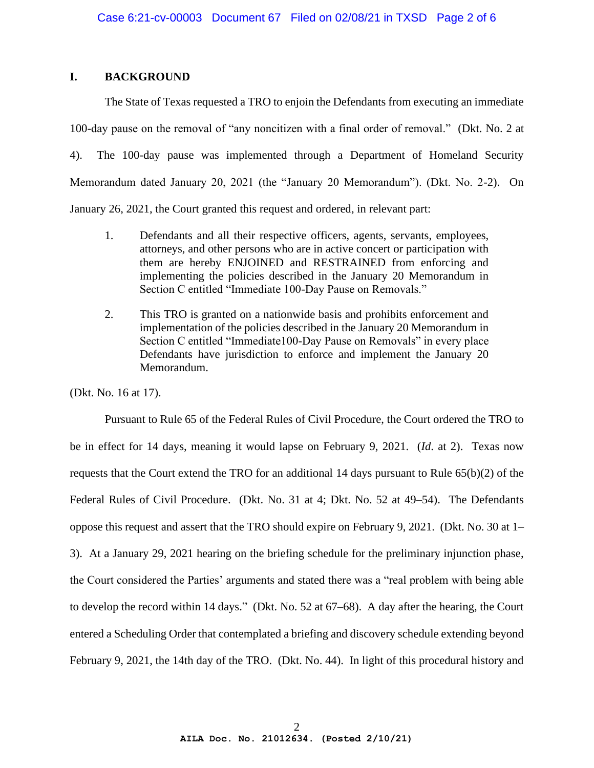## **I. BACKGROUND**

The State of Texas requested a TRO to enjoin the Defendants from executing an immediate 100-day pause on the removal of "any noncitizen with a final order of removal." (Dkt. No. 2 at 4). The 100-day pause was implemented through a Department of Homeland Security Memorandum dated January 20, 2021 (the "January 20 Memorandum"). (Dkt. No. 2-2). On January 26, 2021, the Court granted this request and ordered, in relevant part:

- 1. Defendants and all their respective officers, agents, servants, employees, attorneys, and other persons who are in active concert or participation with them are hereby ENJOINED and RESTRAINED from enforcing and implementing the policies described in the January 20 Memorandum in Section C entitled "Immediate 100-Day Pause on Removals."
- 2. This TRO is granted on a nationwide basis and prohibits enforcement and implementation of the policies described in the January 20 Memorandum in Section C entitled "Immediate100-Day Pause on Removals" in every place Defendants have jurisdiction to enforce and implement the January 20 Memorandum.

(Dkt. No. 16 at 17).

Pursuant to Rule 65 of the Federal Rules of Civil Procedure, the Court ordered the TRO to be in effect for 14 days, meaning it would lapse on February 9, 2021. (*Id*. at 2).Texas now requests that the Court extend the TRO for an additional 14 days pursuant to Rule 65(b)(2) of the Federal Rules of Civil Procedure. (Dkt. No. 31 at 4; Dkt. No. 52 at 49–54). The Defendants oppose this request and assert that the TRO should expire on February 9, 2021. (Dkt. No. 30 at 1– 3). At a January 29, 2021 hearing on the briefing schedule for the preliminary injunction phase, the Court considered the Parties' arguments and stated there was a "real problem with being able to develop the record within 14 days." (Dkt. No. 52 at 67–68). A day after the hearing, the Court entered a Scheduling Order that contemplated a briefing and discovery schedule extending beyond February 9, 2021, the 14th day of the TRO. (Dkt. No. 44). In light of this procedural history and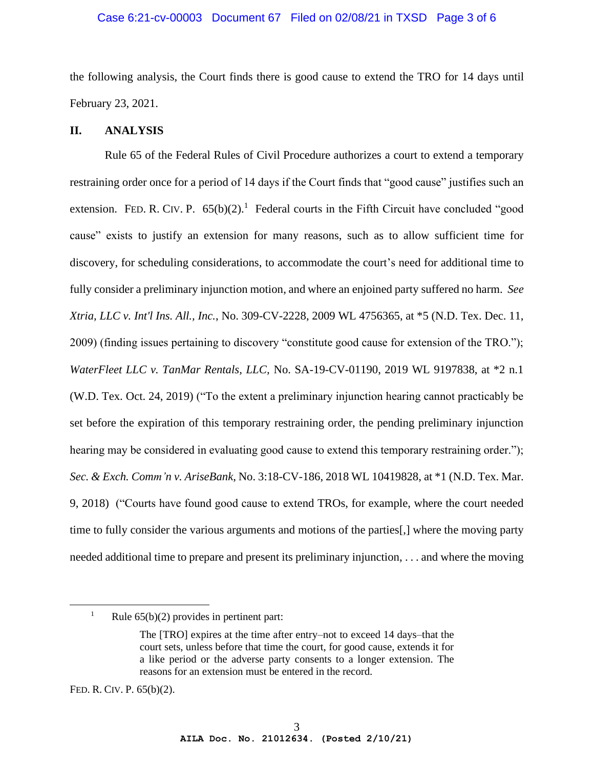## Case 6:21-cv-00003 Document 67 Filed on 02/08/21 in TXSD Page 3 of 6

the following analysis, the Court finds there is good cause to extend the TRO for 14 days until February 23, 2021.

#### **II. ANALYSIS**

Rule 65 of the Federal Rules of Civil Procedure authorizes a court to extend a temporary restraining order once for a period of 14 days if the Court finds that "good cause" justifies such an extension. FED. R. CIV. P.  $65(b)(2)$ .<sup>1</sup> Federal courts in the Fifth Circuit have concluded "good cause" exists to justify an extension for many reasons, such as to allow sufficient time for discovery, for scheduling considerations, to accommodate the court's need for additional time to fully consider a preliminary injunction motion, and where an enjoined party suffered no harm. *See Xtria, LLC v. Int'l Ins. All., Inc.*, No. 309-CV-2228, 2009 WL 4756365, at \*5 (N.D. Tex. Dec. 11, 2009) (finding issues pertaining to discovery "constitute good cause for extension of the TRO."); *WaterFleet LLC v. TanMar Rentals, LLC,* No. SA-19-CV-01190, 2019 WL 9197838, at \*2 n.1 (W.D. Tex. Oct. 24, 2019) ("To the extent a preliminary injunction hearing cannot practicably be set before the expiration of this temporary restraining order, the pending preliminary injunction hearing may be considered in evaluating good cause to extend this temporary restraining order."); *Sec. & Exch. Comm'n v. AriseBank*, No. 3:18-CV-186, 2018 WL 10419828, at \*1 (N.D. Tex. Mar. 9, 2018) ("Courts have found good cause to extend TROs, for example, where the court needed time to fully consider the various arguments and motions of the parties[,] where the moving party needed additional time to prepare and present its preliminary injunction, . . . and where the moving

FED. R. CIV. P. 65(b)(2).

<sup>&</sup>lt;sup>1</sup> Rule  $65(b)(2)$  provides in pertinent part:

The [TRO] expires at the time after entry–not to exceed 14 days–that the court sets, unless before that time the court, for good cause, extends it for a like period or the adverse party consents to a longer extension. The reasons for an extension must be entered in the record.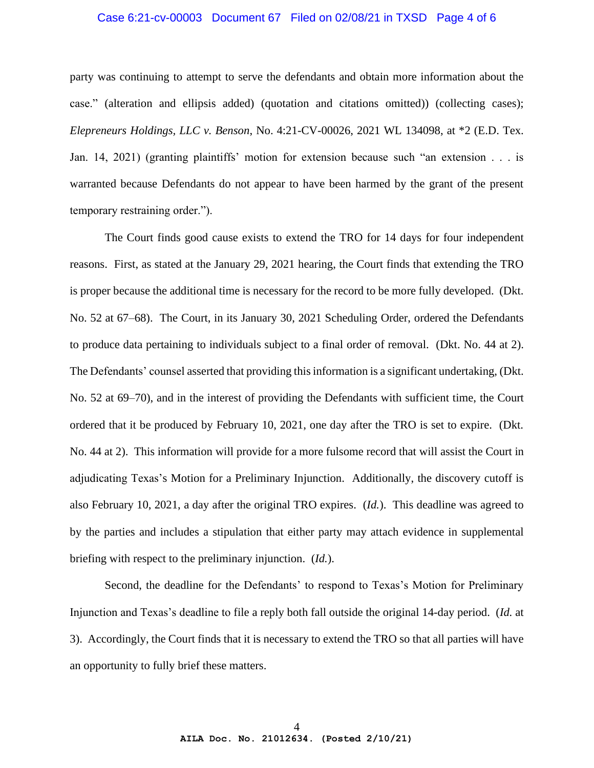### Case 6:21-cv-00003 Document 67 Filed on 02/08/21 in TXSD Page 4 of 6

party was continuing to attempt to serve the defendants and obtain more information about the case." (alteration and ellipsis added) (quotation and citations omitted)) (collecting cases); *Elepreneurs Holdings, LLC v. Benson*, No. 4:21-CV-00026, 2021 WL 134098, at \*2 (E.D. Tex. Jan. 14, 2021) (granting plaintiffs' motion for extension because such "an extension . . . is warranted because Defendants do not appear to have been harmed by the grant of the present temporary restraining order.").

The Court finds good cause exists to extend the TRO for 14 days for four independent reasons. First, as stated at the January 29, 2021 hearing, the Court finds that extending the TRO is proper because the additional time is necessary for the record to be more fully developed. (Dkt. No. 52 at 67–68). The Court, in its January 30, 2021 Scheduling Order, ordered the Defendants to produce data pertaining to individuals subject to a final order of removal. (Dkt. No. 44 at 2). The Defendants' counsel asserted that providing this information is a significant undertaking, (Dkt. No. 52 at 69–70), and in the interest of providing the Defendants with sufficient time, the Court ordered that it be produced by February 10, 2021, one day after the TRO is set to expire. (Dkt. No. 44 at 2). This information will provide for a more fulsome record that will assist the Court in adjudicating Texas's Motion for a Preliminary Injunction. Additionally, the discovery cutoff is also February 10, 2021, a day after the original TRO expires. (*Id.*). This deadline was agreed to by the parties and includes a stipulation that either party may attach evidence in supplemental briefing with respect to the preliminary injunction. (*Id.*).

Second, the deadline for the Defendants' to respond to Texas's Motion for Preliminary Injunction and Texas's deadline to file a reply both fall outside the original 14-day period. (*Id.* at 3). Accordingly, the Court finds that it is necessary to extend the TRO so that all parties will have an opportunity to fully brief these matters.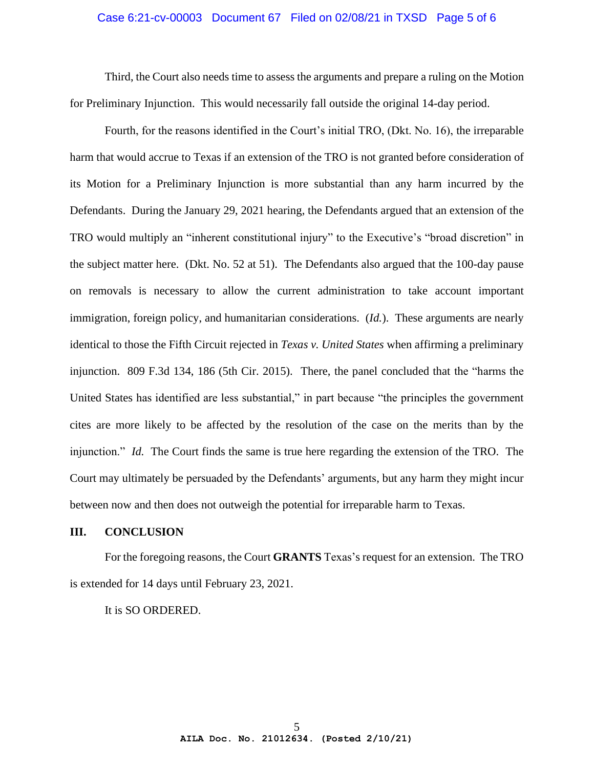### Case 6:21-cv-00003 Document 67 Filed on 02/08/21 in TXSD Page 5 of 6

Third, the Court also needs time to assess the arguments and prepare a ruling on the Motion for Preliminary Injunction. This would necessarily fall outside the original 14-day period.

Fourth, for the reasons identified in the Court's initial TRO, (Dkt. No. 16), the irreparable harm that would accrue to Texas if an extension of the TRO is not granted before consideration of its Motion for a Preliminary Injunction is more substantial than any harm incurred by the Defendants. During the January 29, 2021 hearing, the Defendants argued that an extension of the TRO would multiply an "inherent constitutional injury" to the Executive's "broad discretion" in the subject matter here. (Dkt. No. 52 at 51). The Defendants also argued that the 100-day pause on removals is necessary to allow the current administration to take account important immigration, foreign policy, and humanitarian considerations. (*Id.*). These arguments are nearly identical to those the Fifth Circuit rejected in *Texas v. United States* when affirming a preliminary injunction. 809 F.3d 134, 186 (5th Cir. 2015). There, the panel concluded that the "harms the United States has identified are less substantial," in part because "the principles the government cites are more likely to be affected by the resolution of the case on the merits than by the injunction." *Id.* The Court finds the same is true here regarding the extension of the TRO. The Court may ultimately be persuaded by the Defendants' arguments, but any harm they might incur between now and then does not outweigh the potential for irreparable harm to Texas.

#### **III. CONCLUSION**

For the foregoing reasons, the Court **GRANTS** Texas's request for an extension. The TRO is extended for 14 days until February 23, 2021.

It is SO ORDERED.